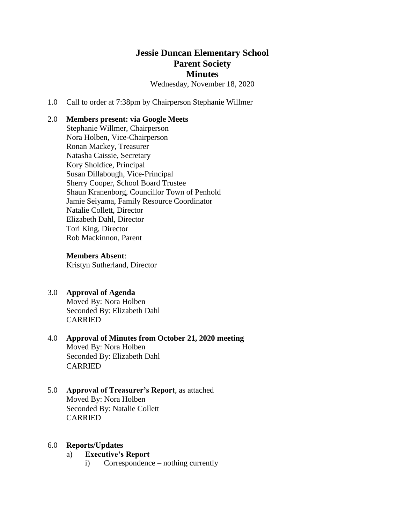# **Jessie Duncan Elementary School Parent Society Minutes**

Wednesday, November 18, 2020

1.0 Call to order at 7:38pm by Chairperson Stephanie Willmer

### 2.0 **Members present: via Google Meets**

Stephanie Willmer, Chairperson Nora Holben, Vice-Chairperson Ronan Mackey, Treasurer Natasha Caissie, Secretary Kory Sholdice, Principal Susan Dillabough, Vice-Principal Sherry Cooper, School Board Trustee Shaun Kranenborg, Councillor Town of Penhold Jamie Seiyama, Family Resource Coordinator Natalie Collett, Director Elizabeth Dahl, Director Tori King, Director Rob Mackinnon, Parent

**Members Absent**:

Kristyn Sutherland, Director

### 3.0 **Approval of Agenda**  Moved By: Nora Holben Seconded By: Elizabeth Dahl CARRIED

4.0 **Approval of Minutes from October 21, 2020 meeting** Moved By: Nora Holben Seconded By: Elizabeth Dahl CARRIED

### 5.0 **Approval of Treasurer's Report**, as attached Moved By: Nora Holben Seconded By: Natalie Collett CARRIED

### 6.0 **Reports/Updates**

## a) **Executive's Report**

i) Correspondence – nothing currently